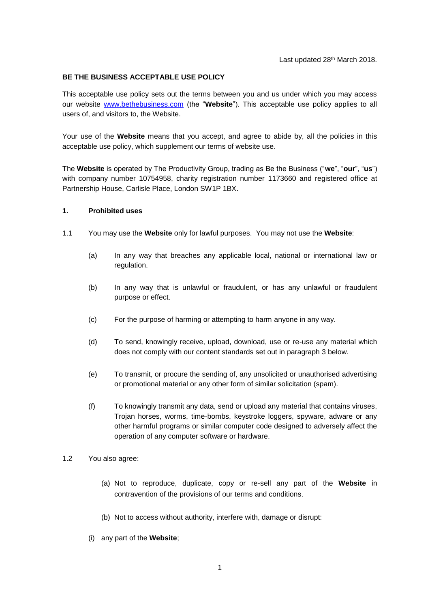### **BE THE BUSINESS ACCEPTABLE USE POLICY**

This acceptable use policy sets out the terms between you and us under which you may access our website [www.bethebusiness.com](http://www.bethebusiness.com/) (the "**Website**"). This acceptable use policy applies to all users of, and visitors to, the Website.

Your use of the **Website** means that you accept, and agree to abide by, all the policies in this acceptable use policy, which supplement our terms of website use.

The **Website** is operated by The Productivity Group, trading as Be the Business ("**we**", "**our**", "**us**") with company number 10754958, charity registration number 1173660 and registered office at Partnership House, Carlisle Place, London SW1P 1BX.

#### **1. Prohibited uses**

- 1.1 You may use the **Website** only for lawful purposes. You may not use the **Website**:
	- (a) In any way that breaches any applicable local, national or international law or regulation.
	- (b) In any way that is unlawful or fraudulent, or has any unlawful or fraudulent purpose or effect.
	- (c) For the purpose of harming or attempting to harm anyone in any way.
	- (d) To send, knowingly receive, upload, download, use or re-use any material which does not comply with our content standards set out in paragraph [3](#page-1-0) below.
	- (e) To transmit, or procure the sending of, any unsolicited or unauthorised advertising or promotional material or any other form of similar solicitation (spam).
	- (f) To knowingly transmit any data, send or upload any material that contains viruses, Trojan horses, worms, time-bombs, keystroke loggers, spyware, adware or any other harmful programs or similar computer code designed to adversely affect the operation of any computer software or hardware.
- 1.2 You also agree:
	- (a) Not to reproduce, duplicate, copy or re-sell any part of the **Website** in contravention of the provisions of our terms and conditions.
	- (b) Not to access without authority, interfere with, damage or disrupt:
	- (i) any part of the **Website**;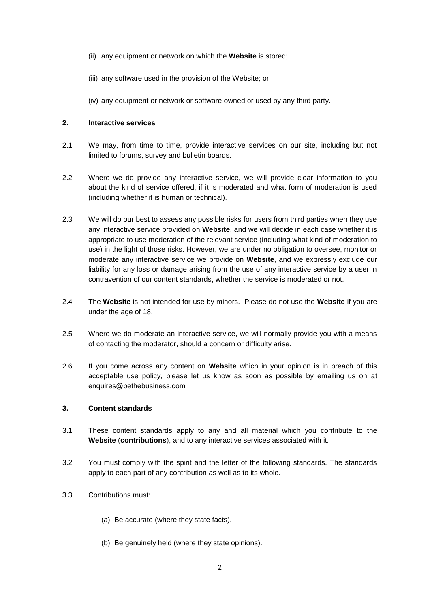- (ii) any equipment or network on which the **Website** is stored;
- (iii) any software used in the provision of the Website; or
- (iv) any equipment or network or software owned or used by any third party.

# **2. Interactive services**

- 2.1 We may, from time to time, provide interactive services on our site, including but not limited to forums, survey and bulletin boards.
- 2.2 Where we do provide any interactive service, we will provide clear information to you about the kind of service offered, if it is moderated and what form of moderation is used (including whether it is human or technical).
- 2.3 We will do our best to assess any possible risks for users from third parties when they use any interactive service provided on **Website**, and we will decide in each case whether it is appropriate to use moderation of the relevant service (including what kind of moderation to use) in the light of those risks. However, we are under no obligation to oversee, monitor or moderate any interactive service we provide on **Website**, and we expressly exclude our liability for any loss or damage arising from the use of any interactive service by a user in contravention of our content standards, whether the service is moderated or not.
- 2.4 The **Website** is not intended for use by minors. Please do not use the **Website** if you are under the age of 18.
- 2.5 Where we do moderate an interactive service, we will normally provide you with a means of contacting the moderator, should a concern or difficulty arise.
- 2.6 If you come across any content on **Website** which in your opinion is in breach of this acceptable use policy, please let us know as soon as possible by emailing us on at enquires@bethebusiness.com

### <span id="page-1-0"></span>**3. Content standards**

- 3.1 These content standards apply to any and all material which you contribute to the **Website** (**contributions**), and to any interactive services associated with it.
- 3.2 You must comply with the spirit and the letter of the following standards. The standards apply to each part of any contribution as well as to its whole.
- 3.3 Contributions must:
	- (a) Be accurate (where they state facts).
	- (b) Be genuinely held (where they state opinions).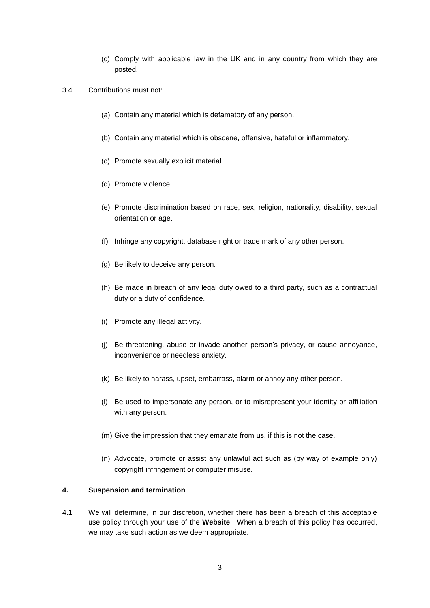- (c) Comply with applicable law in the UK and in any country from which they are posted.
- 3.4 Contributions must not:
	- (a) Contain any material which is defamatory of any person.
	- (b) Contain any material which is obscene, offensive, hateful or inflammatory.
	- (c) Promote sexually explicit material.
	- (d) Promote violence.
	- (e) Promote discrimination based on race, sex, religion, nationality, disability, sexual orientation or age.
	- (f) Infringe any copyright, database right or trade mark of any other person.
	- (g) Be likely to deceive any person.
	- (h) Be made in breach of any legal duty owed to a third party, such as a contractual duty or a duty of confidence.
	- (i) Promote any illegal activity.
	- (j) Be threatening, abuse or invade another person's privacy, or cause annoyance, inconvenience or needless anxiety.
	- (k) Be likely to harass, upset, embarrass, alarm or annoy any other person.
	- (l) Be used to impersonate any person, or to misrepresent your identity or affiliation with any person.
	- (m) Give the impression that they emanate from us, if this is not the case.
	- (n) Advocate, promote or assist any unlawful act such as (by way of example only) copyright infringement or computer misuse.

# **4. Suspension and termination**

4.1 We will determine, in our discretion, whether there has been a breach of this acceptable use policy through your use of the **Website**. When a breach of this policy has occurred, we may take such action as we deem appropriate.